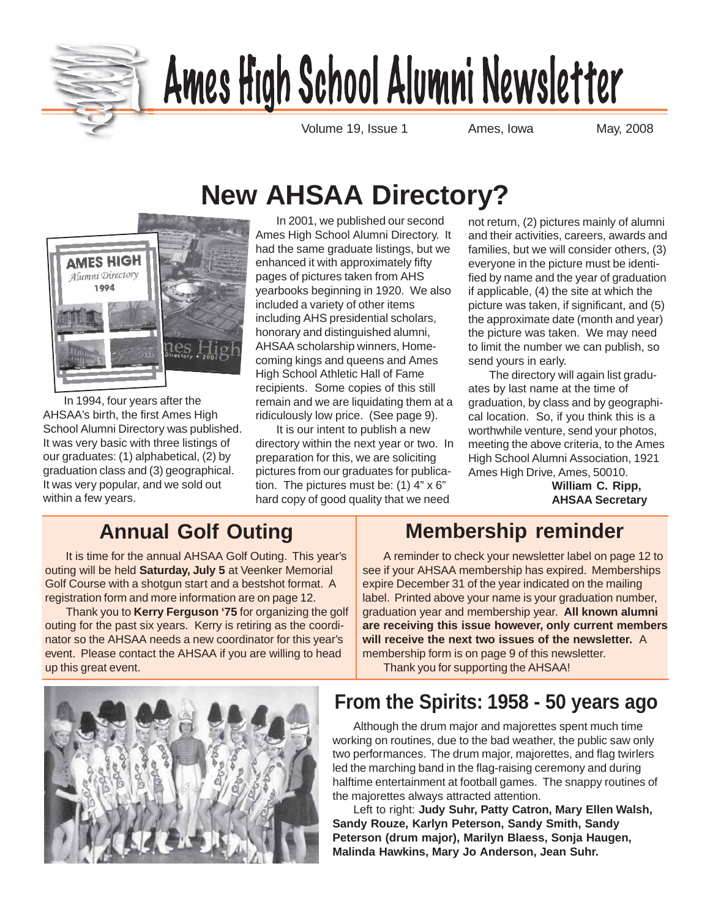

# <u>Ames High School Alumni Newsletter</u>

Volume 19, Issue 1 **Ames, Iowa** May, 2008

# **New AHSAA Directory?**



In 1994, four years after the AHSAA's birth, the first Ames High School Alumni Directory was published. It was very basic with three listings of our graduates: (1) alphabetical, (2) by graduation class and (3) geographical. It was very popular, and we sold out within a few years.

In 2001, we published our second Ames High School Alumni Directory. It had the same graduate listings, but we enhanced it with approximately fifty pages of pictures taken from AHS yearbooks beginning in 1920. We also included a variety of other items including AHS presidential scholars, honorary and distinguished alumni, AHSAA scholarship winners, Homecoming kings and queens and Ames High School Athletic Hall of Fame recipients. Some copies of this still remain and we are liquidating them at a ridiculously low price. (See page 9).

It is our intent to publish a new directory within the next year or two. In preparation for this, we are soliciting pictures from our graduates for publication. The pictures must be: (1) 4" x 6" hard copy of good quality that we need

not return, (2) pictures mainly of alumni and their activities, careers, awards and families, but we will consider others, (3) everyone in the picture must be identified by name and the year of graduation if applicable, (4) the site at which the picture was taken, if significant, and (5) the approximate date (month and year) the picture was taken. We may need to limit the number we can publish, so send yours in early.

The directory will again list graduates by last name at the time of graduation, by class and by geographical location. So, if you think this is a worthwhile venture, send your photos, meeting the above criteria, to the Ames High School Alumni Association, 1921 Ames High Drive, Ames, 50010.

**William C. Ripp, AHSAA Secretary**

### **Annual Golf Outing**

It is time for the annual AHSAA Golf Outing. This year's outing will be held **Saturday, July 5** at Veenker Memorial Golf Course with a shotgun start and a bestshot format. A registration form and more information are on page 12.

Thank you to **Kerry Ferguson '75** for organizing the golf outing for the past six years. Kerry is retiring as the coordinator so the AHSAA needs a new coordinator for this year's event. Please contact the AHSAA if you are willing to head up this great event.

### **Membership reminder**

A reminder to check your newsletter label on page 12 to see if your AHSAA membership has expired. Memberships expire December 31 of the year indicated on the mailing label. Printed above your name is your graduation number, graduation year and membership year. **All known alumni are receiving this issue however, only current members will receive the next two issues of the newsletter.** A membership form is on page 9 of this newsletter.

Thank you for supporting the AHSAA!

### **From the Spirits: 1958 - 50 years ago**

Although the drum major and majorettes spent much time working on routines, due to the bad weather, the public saw only two performances. The drum major, majorettes, and flag twirlers led the marching band in the flag-raising ceremony and during halftime entertainment at football games. The snappy routines of the majorettes always attracted attention.

Left to right: **Judy Suhr, Patty Catron, Mary Ellen Walsh, Sandy Rouze, Karlyn Peterson, Sandy Smith, Sandy Peterson (drum major), Marilyn Blaess, Sonja Haugen, Malinda Hawkins, Mary Jo Anderson, Jean Suhr.**

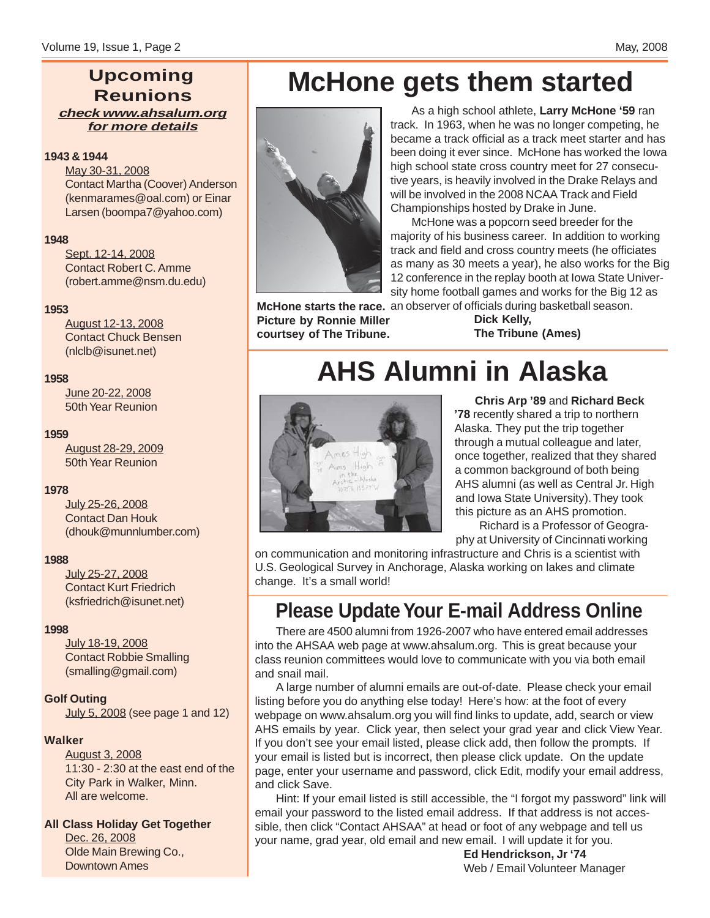### **Upcoming Reunions check www.ahsalum.org for more details**

### **1943 & 1944**

May 30-31, 2008 Contact Martha (Coover) Anderson (kenmarames@oal.com) or Einar Larsen (boompa7@yahoo.com)

#### **1948**

Sept. 12-14, 2008 Contact Robert C. Amme (robert.amme@nsm.du.edu)

#### **1953**

August 12-13, 2008 Contact Chuck Bensen (nlclb@isunet.net)

#### **1958**

June 20-22, 2008 50th Year Reunion

#### **1959**

August 28-29, 2009 50th Year Reunion

### **1978**

July 25-26, 2008 Contact Dan Houk (dhouk@munnlumber.com)

### **1988**

July 25-27, 2008 Contact Kurt Friedrich (ksfriedrich@isunet.net)

### **1998**

July 18-19, 2008 Contact Robbie Smalling (smalling@gmail.com)

### **Golf Outing**

July 5, 2008 (see page 1 and 12)

### **Walker**

August 3, 2008 11:30 - 2:30 at the east end of the City Park in Walker, Minn. All are welcome.

**All Class Holiday Get Together**

Dec. 26, 2008 Olde Main Brewing Co., Downtown Ames

## **McHone gets them started**



As a high school athlete, **Larry McHone '59** ran track. In 1963, when he was no longer competing, he became a track official as a track meet starter and has been doing it ever since. McHone has worked the Iowa high school state cross country meet for 27 consecutive years, is heavily involved in the Drake Relays and will be involved in the 2008 NCAA Track and Field Championships hosted by Drake in June.

McHone was a popcorn seed breeder for the majority of his business career. In addition to working track and field and cross country meets (he officiates as many as 30 meets a year), he also works for the Big 12 conference in the replay booth at Iowa State University home football games and works for the Big 12 as

McHone starts the race. an observer of officials during basketball season. **Picture by Ronnie Miller courtsey of The Tribune.**

**Dick Kelly, The Tribune (Ames)**

# **AHS Alumni in Alaska**



**Chris Arp '89** and **Richard Beck '78** recently shared a trip to northern Alaska. They put the trip together through a mutual colleague and later, once together, realized that they shared a common background of both being AHS alumni (as well as Central Jr. High and Iowa State University). They took this picture as an AHS promotion.

 Richard is a Professor of Geography at University of Cincinnati working

on communication and monitoring infrastructure and Chris is a scientist with U.S. Geological Survey in Anchorage, Alaska working on lakes and climate change. It's a small world!

### **Please Update Your E-mail Address Online**

There are 4500 alumni from 1926-2007 who have entered email addresses into the AHSAA web page at www.ahsalum.org. This is great because your class reunion committees would love to communicate with you via both email and snail mail.

A large number of alumni emails are out-of-date. Please check your email listing before you do anything else today! Here's how: at the foot of every webpage on www.ahsalum.org you will find links to update, add, search or view AHS emails by year. Click year, then select your grad year and click View Year. If you don't see your email listed, please click add, then follow the prompts. If your email is listed but is incorrect, then please click update. On the update page, enter your username and password, click Edit, modify your email address, and click Save.

Hint: If your email listed is still accessible, the "I forgot my password" link will email your password to the listed email address. If that address is not accessible, then click "Contact AHSAA" at head or foot of any webpage and tell us your name, grad year, old email and new email. I will update it for you.

**Ed Hendrickson, Jr '74** Web / Email Volunteer Manager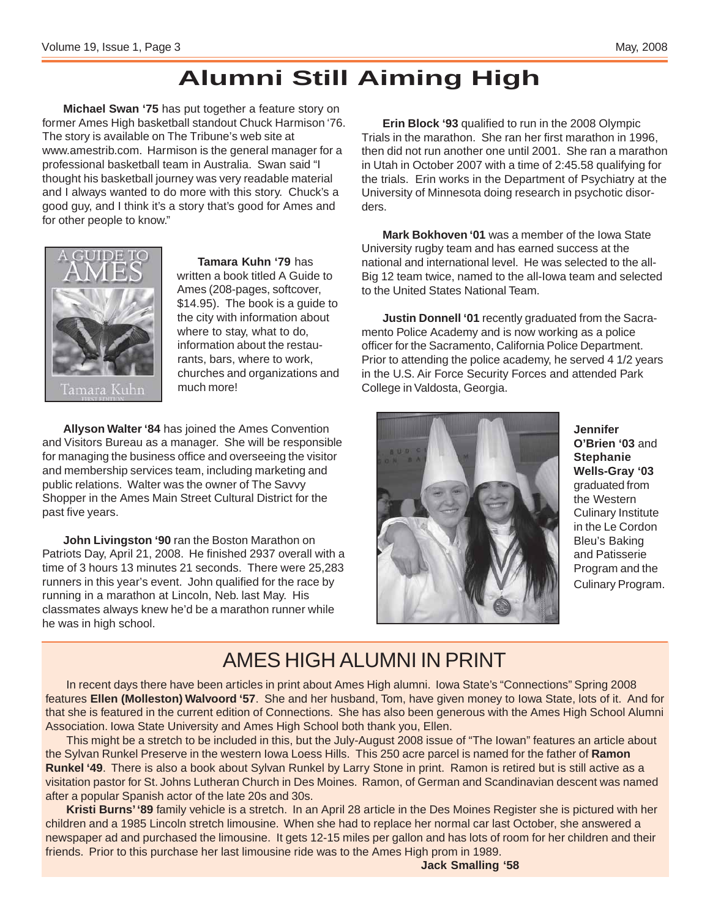### **Alumni Still Aiming High**

**Michael Swan '75** has put together a feature story on former Ames High basketball standout Chuck Harmison '76. The story is available on The Tribune's web site at www.amestrib.com. Harmison is the general manager for a professional basketball team in Australia. Swan said "I thought his basketball journey was very readable material and I always wanted to do more with this story. Chuck's a good guy, and I think it's a story that's good for Ames and for other people to know."



**Tamara Kuhn '79** has written a book titled A Guide to Ames (208-pages, softcover, \$14.95). The book is a guide to the city with information about where to stay, what to do, information about the restaurants, bars, where to work, churches and organizations and much more!

**Allyson Walter '84** has joined the Ames Convention and Visitors Bureau as a manager. She will be responsible for managing the business office and overseeing the visitor and membership services team, including marketing and public relations. Walter was the owner of The Savvy Shopper in the Ames Main Street Cultural District for the past five years.

**John Livingston '90** ran the Boston Marathon on Patriots Day, April 21, 2008. He finished 2937 overall with a time of 3 hours 13 minutes 21 seconds. There were 25,283 runners in this year's event. John qualified for the race by running in a marathon at Lincoln, Neb. last May. His classmates always knew he'd be a marathon runner while he was in high school.

**Erin Block '93** qualified to run in the 2008 Olympic Trials in the marathon. She ran her first marathon in 1996, then did not run another one until 2001. She ran a marathon in Utah in October 2007 with a time of 2:45.58 qualifying for the trials. Erin works in the Department of Psychiatry at the University of Minnesota doing research in psychotic disorders.

**Mark Bokhoven '01** was a member of the Iowa State University rugby team and has earned success at the national and international level. He was selected to the all-Big 12 team twice, named to the all-Iowa team and selected to the United States National Team.

**Justin Donnell '01** recently graduated from the Sacramento Police Academy and is now working as a police officer for the Sacramento, California Police Department. Prior to attending the police academy, he served 4 1/2 years in the U.S. Air Force Security Forces and attended Park College in Valdosta, Georgia.



**Jennifer O'Brien '03** and **Stephanie Wells-Gray '03** graduated from the Western Culinary Institute in the Le Cordon Bleu's Baking and Patisserie Program and the Culinary Program.

### AMES HIGH ALUMNI IN PRINT

In recent days there have been articles in print about Ames High alumni. Iowa State's "Connections" Spring 2008 features **Ellen (Molleston) Walvoord '57**. She and her husband, Tom, have given money to Iowa State, lots of it. And for that she is featured in the current edition of Connections. She has also been generous with the Ames High School Alumni Association. Iowa State University and Ames High School both thank you, Ellen.

This might be a stretch to be included in this, but the July-August 2008 issue of "The Iowan" features an article about the Sylvan Runkel Preserve in the western Iowa Loess Hills. This 250 acre parcel is named for the father of **Ramon Runkel '49**. There is also a book about Sylvan Runkel by Larry Stone in print. Ramon is retired but is still active as a visitation pastor for St. Johns Lutheran Church in Des Moines. Ramon, of German and Scandinavian descent was named after a popular Spanish actor of the late 20s and 30s.

**Kristi Burns' '89** family vehicle is a stretch. In an April 28 article in the Des Moines Register she is pictured with her children and a 1985 Lincoln stretch limousine. When she had to replace her normal car last October, she answered a newspaper ad and purchased the limousine. It gets 12-15 miles per gallon and has lots of room for her children and their friends. Prior to this purchase her last limousine ride was to the Ames High prom in 1989.

**Jack Smalling '58**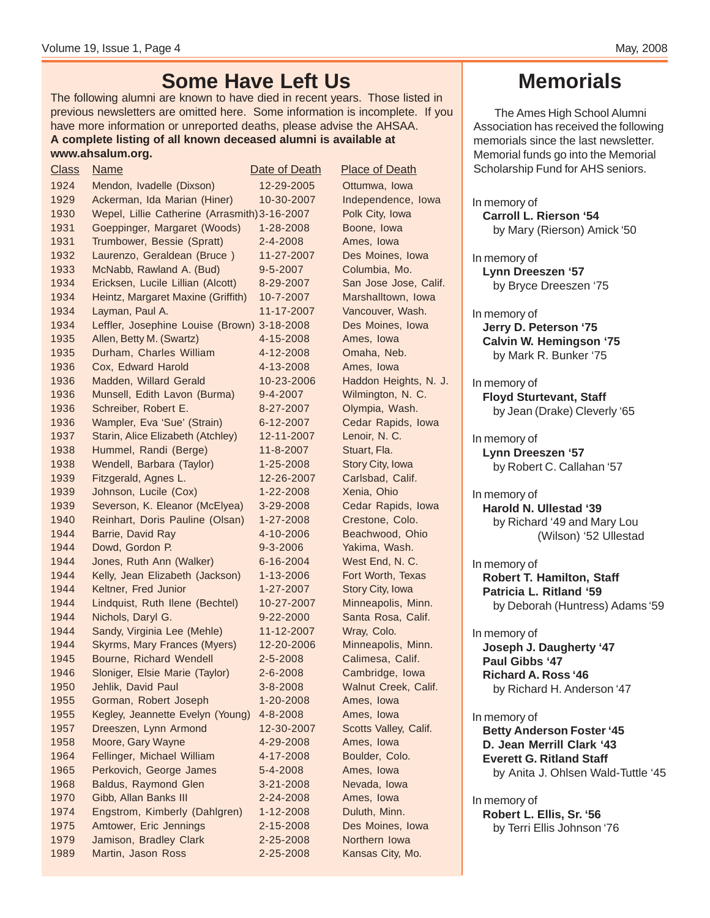The following alumni are known to have died in recent years. Those listed in previous newsletters are omitted here. Some information is incomplete. If you have more information or unreported deaths, please advise the AHSAA. **A complete listing of all known deceased alumni is available at www.ahsalum.org.**

 Mendon, Ivadelle (Dixson) 12-29-2005 Ottumwa, Iowa Ackerman, Ida Marian (Hiner) 10-30-2007 Independence, Iowa Wepel, Lillie Catherine (Arrasmith)3-16-2007 Polk City, Iowa 1931 Goeppinger, Margaret (Woods) 1-28-2008 Boone, Iowa 1931 Trumbower, Bessie (Spratt) 2-4-2008 Ames, Iowa Laurenzo, Geraldean (Bruce ) 11-27-2007 Des Moines, Iowa McNabb, Rawland A. (Bud) 9-5-2007 Columbia, Mo. Ericksen, Lucile Lillian (Alcott) 8-29-2007 San Jose Jose, Calif. Heintz, Margaret Maxine (Griffith) 10-7-2007 Marshalltown, Iowa 1934 Layman, Paul A. 11-17-2007 Vancouver, Wash. 1934 Leffler, Josephine Louise (Brown) 3-18-2008 Des Moines, Iowa Allen, Betty M. (Swartz) 4-15-2008 Ames, Iowa Durham, Charles William 4-12-2008 Omaha, Neb. Cox, Edward Harold 4-13-2008 Ames, Iowa Madden, Willard Gerald 10-23-2006 Haddon Heights, N. J. Munsell, Edith Lavon (Burma) 9-4-2007 Wilmington, N. C. Schreiber, Robert E. 8-27-2007 Olympia, Wash. 1936 Wampler, Eva 'Sue' (Strain) 6-12-2007 Cedar Rapids, Iowa Starin, Alice Elizabeth (Atchley) 12-11-2007 Lenoir, N. C. Hummel, Randi (Berge) 11-8-2007 Stuart, Fla. 1938 Wendell, Barbara (Taylor) 1-25-2008 Story City, Iowa Fitzgerald, Agnes L. 12-26-2007 Carlsbad, Calif. Johnson, Lucile (Cox) 1-22-2008 Xenia, Ohio Severson, K. Eleanor (McElyea) 3-29-2008 Cedar Rapids, Iowa Reinhart, Doris Pauline (Olsan) 1-27-2008 Crestone, Colo. Barrie, David Ray 4-10-2006 Beachwood, Ohio 1944 Dowd, Gordon P. 9-3-2006 Yakima, Wash. Jones, Ruth Ann (Walker) 6-16-2004 West End, N. C. 1944 Kelly, Jean Elizabeth (Jackson) 1-13-2006 Fort Worth, Texas 1944 Keltner, Fred Junior 1-27-2007 Story City, Iowa Lindquist, Ruth Ilene (Bechtel) 10-27-2007 Minneapolis, Minn. Nichols, Daryl G. 9-22-2000 Santa Rosa, Calif. Sandy, Virginia Lee (Mehle) 11-12-2007 Wray, Colo. Skyrms, Mary Frances (Myers) 12-20-2006 Minneapolis, Minn. Bourne, Richard Wendell 2-5-2008 Calimesa, Calif. Sloniger, Elsie Marie (Taylor) 2-6-2008 Cambridge, Iowa Jehlik, David Paul 3-8-2008 Walnut Creek, Calif. Gorman, Robert Joseph 1-20-2008 Ames, Iowa 1955 Kegley, Jeannette Evelyn (Young) 4-8-2008 Ames, Iowa Dreeszen, Lynn Armond 12-30-2007 Scotts Valley, Calif. Moore, Gary Wayne 4-29-2008 Ames, Iowa 1964 Fellinger, Michael William 4-17-2008 Boulder, Colo. Perkovich, George James 5-4-2008 Ames, Iowa Baldus, Raymond Glen 3-21-2008 Nevada, Iowa 1970 Gibb, Allan Banks III 2-24-2008 Ames, Iowa Engstrom, Kimberly (Dahlgren) 1-12-2008 Duluth, Minn. Amtower, Eric Jennings 2-15-2008 Des Moines, Iowa Jamison, Bradley Clark 2-25-2008 Northern Iowa Martin, Jason Ross 2-25-2008 Kansas City, Mo. Class Name Date of Death Place of Death

### **Memorials**

The Ames High School Alumni Association has received the following memorials since the last newsletter. Memorial funds go into the Memorial Scholarship Fund for AHS seniors.

In memory of **Carroll L. Rierson '54** by Mary (Rierson) Amick '50

In memory of **Lynn Dreeszen '57** by Bryce Dreeszen '75

In memory of **Jerry D. Peterson '75 Calvin W. Hemingson '75** by Mark R. Bunker '75

In memory of **Floyd Sturtevant, Staff** by Jean (Drake) Cleverly '65

In memory of **Lynn Dreeszen '57** by Robert C. Callahan '57

In memory of **Harold N. Ullestad '39** by Richard '49 and Mary Lou (Wilson) '52 Ullestad

In memory of **Robert T. Hamilton, Staff Patricia L. Ritland '59** by Deborah (Huntress) Adams '59

In memory of **Joseph J. Daugherty '47 Paul Gibbs '47 Richard A. Ross '46** by Richard H. Anderson '47

In memory of **Betty Anderson Foster '45 D. Jean Merrill Clark '43 Everett G. Ritland Staff** by Anita J. Ohlsen Wald-Tuttle '45

In memory of **Robert L. Ellis, Sr. '56** by Terri Ellis Johnson '76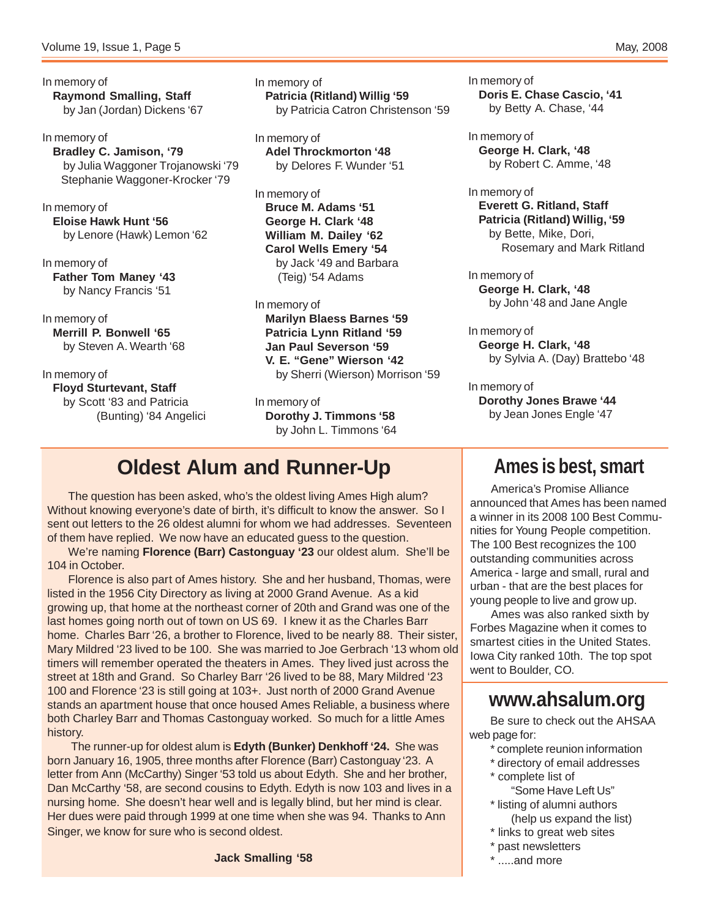In memory of **Raymond Smalling, Staff** by Jan (Jordan) Dickens '67

In memory of **Bradley C. Jamison, '79** by Julia Waggoner Trojanowski '79 Stephanie Waggoner-Krocker '79

In memory of **Eloise Hawk Hunt '56** by Lenore (Hawk) Lemon '62

In memory of **Father Tom Maney '43** by Nancy Francis '51

In memory of **Merrill P. Bonwell '65** by Steven A. Wearth '68

In memory of **Floyd Sturtevant, Staff** by Scott '83 and Patricia (Bunting) '84 Angelici In memory of **Patricia (Ritland) Willig '59** by Patricia Catron Christenson '59

In memory of **Adel Throckmorton '48** by Delores F. Wunder '51

In memory of **Bruce M. Adams '51 George H. Clark '48 William M. Dailey '62 Carol Wells Emery '54** by Jack '49 and Barbara (Teig) '54 Adams

In memory of **Marilyn Blaess Barnes '59 Patricia Lynn Ritland '59 Jan Paul Severson '59 V. E. "Gene" Wierson '42** by Sherri (Wierson) Morrison '59

In memory of **Dorothy J. Timmons '58** by John L. Timmons '64

### **Oldest Alum and Runner-Up**

The question has been asked, who's the oldest living Ames High alum? Without knowing everyone's date of birth, it's difficult to know the answer. So I sent out letters to the 26 oldest alumni for whom we had addresses. Seventeen of them have replied. We now have an educated guess to the question.

We're naming **Florence (Barr) Castonguay '23** our oldest alum. She'll be 104 in October.

Florence is also part of Ames history. She and her husband, Thomas, were listed in the 1956 City Directory as living at 2000 Grand Avenue. As a kid growing up, that home at the northeast corner of 20th and Grand was one of the last homes going north out of town on US 69. I knew it as the Charles Barr home. Charles Barr '26, a brother to Florence, lived to be nearly 88. Their sister, Mary Mildred '23 lived to be 100. She was married to Joe Gerbrach '13 whom old timers will remember operated the theaters in Ames. They lived just across the street at 18th and Grand. So Charley Barr '26 lived to be 88, Mary Mildred '23 100 and Florence '23 is still going at 103+. Just north of 2000 Grand Avenue stands an apartment house that once housed Ames Reliable, a business where both Charley Barr and Thomas Castonguay worked. So much for a little Ames history.

 The runner-up for oldest alum is **Edyth (Bunker) Denkhoff '24.** She was born January 16, 1905, three months after Florence (Barr) Castonguay '23. A letter from Ann (McCarthy) Singer '53 told us about Edyth. She and her brother, Dan McCarthy '58, are second cousins to Edyth. Edyth is now 103 and lives in a nursing home. She doesn't hear well and is legally blind, but her mind is clear. Her dues were paid through 1999 at one time when she was 94. Thanks to Ann Singer, we know for sure who is second oldest.

**Jack Smalling '58**

In memory of **Doris E. Chase Cascio, '41** by Betty A. Chase, '44

In memory of **George H. Clark, '48** by Robert C. Amme, '48

In memory of **Everett G. Ritland, Staff Patricia (Ritland) Willig, '59** by Bette, Mike, Dori, Rosemary and Mark Ritland

In memory of **George H. Clark, '48** by John '48 and Jane Angle

In memory of **George H. Clark, '48** by Sylvia A. (Day) Brattebo '48

In memory of **Dorothy Jones Brawe '44** by Jean Jones Engle '47

### **Ames is best, smart**

America's Promise Alliance announced that Ames has been named a winner in its 2008 100 Best Communities for Young People competition. The 100 Best recognizes the 100 outstanding communities across America - large and small, rural and urban - that are the best places for young people to live and grow up.

Ames was also ranked sixth by Forbes Magazine when it comes to smartest cities in the United States. Iowa City ranked 10th. The top spot went to Boulder, CO.

### **www.ahsalum.org**

Be sure to check out the AHSAA web page for:

- \* complete reunion information
- \* directory of email addresses
- \* complete list of
	- "Some Have Left Us"
- \* listing of alumni authors (help us expand the list)
- \* links to great web sites
- \* past newsletters
- \* .....and more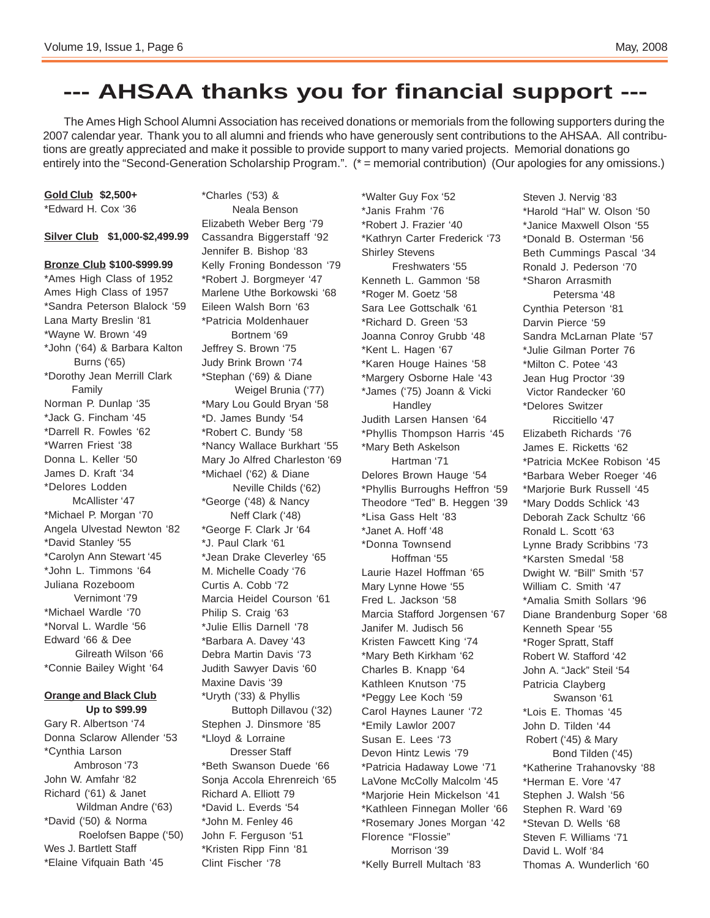### **--- AHSAA thanks you for financial support ---**

The Ames High School Alumni Association has received donations or memorials from the following supporters during the 2007 calendar year. Thank you to all alumni and friends who have generously sent contributions to the AHSAA. All contributions are greatly appreciated and make it possible to provide support to many varied projects. Memorial donations go entirely into the "Second-Generation Scholarship Program.". (\* = memorial contribution) (Our apologies for any omissions.)

**Gold Club \$2,500+** \*Edward H. Cox '36

### **Silver Club \$1,000-\$2,499.99**

### **Bronze Club \$100-\$999.99** \*Ames High Class of 1952 Ames High Class of 1957 \*Sandra Peterson Blalock '59 Lana Marty Breslin '81 \*Wayne W. Brown '49 \*John ('64) & Barbara Kalton Burns ('65) \*Dorothy Jean Merrill Clark Family Norman P. Dunlap '35 \*Jack G. Fincham '45 \*Darrell R. Fowles '62 \*Warren Friest '38 Donna L. Keller '50 James D. Kraft '34 \*Delores Lodden McAllister '47 \*Michael P. Morgan '70 Angela Ulvestad Newton '82 \*David Stanley '55 \*Carolyn Ann Stewart '45 \*John L. Timmons '64 Juliana Rozeboom Vernimont '79 \*Michael Wardle '70 \*Norval L. Wardle '56 Edward '66 & Dee Gilreath Wilson '66 \*Connie Bailey Wight '64 **Orange and Black Club**

### **Up to \$99.99**

Gary R. Albertson '74 Donna Sclarow Allender '53 \*Cynthia Larson Ambroson '73 John W. Amfahr '82 Richard ('61) & Janet Wildman Andre ('63) \*David ('50) & Norma Roelofsen Bappe ('50) Wes J. Bartlett Staff \*Elaine Vifquain Bath '45

\*Charles ('53) & Neala Benson Elizabeth Weber Berg '79 Cassandra Biggerstaff '92 Jennifer B. Bishop '83 Kelly Froning Bondesson '79 \*Robert J. Borgmeyer '47 Marlene Uthe Borkowski '68 Eileen Walsh Born '63 \*Patricia Moldenhauer Bortnem '69 Jeffrey S. Brown '75 Judy Brink Brown '74 \*Stephan ('69) & Diane Weigel Brunia ('77) \*Mary Lou Gould Bryan '58 \*D. James Bundy '54 \*Robert C. Bundy '58 \*Nancy Wallace Burkhart '55 Mary Jo Alfred Charleston '69 \*Michael ('62) & Diane Neville Childs ('62) \*George ('48) & Nancy Neff Clark ('48) \*George F. Clark Jr '64 \*J. Paul Clark '61 \*Jean Drake Cleverley '65 M. Michelle Coady '76 Curtis A. Cobb '72 Marcia Heidel Courson '61 Philip S. Craig '63 \*Julie Ellis Darnell '78 \*Barbara A. Davey '43 Debra Martin Davis '73 Judith Sawyer Davis '60 Maxine Davis '39 \*Uryth ('33) & Phyllis Buttoph Dillavou ('32) Stephen J. Dinsmore '85 \*Lloyd & Lorraine Dresser Staff \*Beth Swanson Duede '66 Sonja Accola Ehrenreich '65 Richard A. Elliott 79 \*David L. Everds '54 \*John M. Fenley 46 John F. Ferguson '51 \*Kristen Ripp Finn '81 Clint Fischer '78

\*Walter Guy Fox '52 \*Janis Frahm '76 \*Robert J. Frazier '40 \*Kathryn Carter Frederick '73 Shirley Stevens Freshwaters '55 Kenneth L. Gammon '58 \*Roger M. Goetz '58 Sara Lee Gottschalk '61 \*Richard D. Green '53 Joanna Conroy Grubb '48 \*Kent L. Hagen '67 \*Karen Houge Haines '58 \*Margery Osborne Hale '43 \*James ('75) Joann & Vicki **Handley** Judith Larsen Hansen '64 \*Phyllis Thompson Harris '45 \*Mary Beth Askelson Hartman '71 Delores Brown Hauge '54 \*Phyllis Burroughs Heffron '59 Theodore "Ted" B. Heggen '39 \*Lisa Gass Helt '83 \*Janet A. Hoff '48 \*Donna Townsend Hoffman '55 Laurie Hazel Hoffman '65 Mary Lynne Howe '55 Fred L. Jackson '58 Marcia Stafford Jorgensen '67 Janifer M. Judisch 56 Kristen Fawcett King '74 \*Mary Beth Kirkham '62 Charles B. Knapp '64 Kathleen Knutson '75 \*Peggy Lee Koch '59 Carol Haynes Launer '72 \*Emily Lawlor 2007 Susan E. Lees '73 Devon Hintz Lewis '79 \*Patricia Hadaway Lowe '71 LaVone McColly Malcolm '45 \*Marjorie Hein Mickelson '41 \*Kathleen Finnegan Moller '66 \*Rosemary Jones Morgan '42 Florence "Flossie" Morrison '39 \*Kelly Burrell Multach '83

Steven J. Nervig '83 \*Harold "Hal" W. Olson '50 \*Janice Maxwell Olson '55 \*Donald B. Osterman '56 Beth Cummings Pascal '34 Ronald J. Pederson '70 \*Sharon Arrasmith Petersma '48 Cynthia Peterson '81 Darvin Pierce '59 Sandra McLarnan Plate '57 \*Julie Gilman Porter 76 \*Milton C. Potee '43 Jean Hug Proctor '39 Victor Randecker '60 \*Delores Switzer Riccitiello '47 Elizabeth Richards '76 James E. Ricketts '62 \*Patricia McKee Robison '45 \*Barbara Weber Roeger '46 \*Marjorie Burk Russell '45 \*Mary Dodds Schlick '43 Deborah Zack Schultz '66 Ronald L. Scott '63 Lynne Brady Scribbins '73 \*Karsten Smedal '58 Dwight W. "Bill" Smith '57 William C. Smith '47 \*Amalia Smith Sollars '96 Diane Brandenburg Soper '68 Kenneth Spear '55 \*Roger Spratt, Staff Robert W. Stafford '42 John A. "Jack" Steil '54 Patricia Clayberg Swanson '61 \*Lois E. Thomas '45 John D. Tilden '44 Robert ('45) & Mary Bond Tilden ('45) \*Katherine Trahanovsky '88 \*Herman E. Vore '47 Stephen J. Walsh '56 Stephen R. Ward '69 \*Stevan D. Wells '68 Steven F. Williams '71 David L. Wolf '84 Thomas A. Wunderlich '60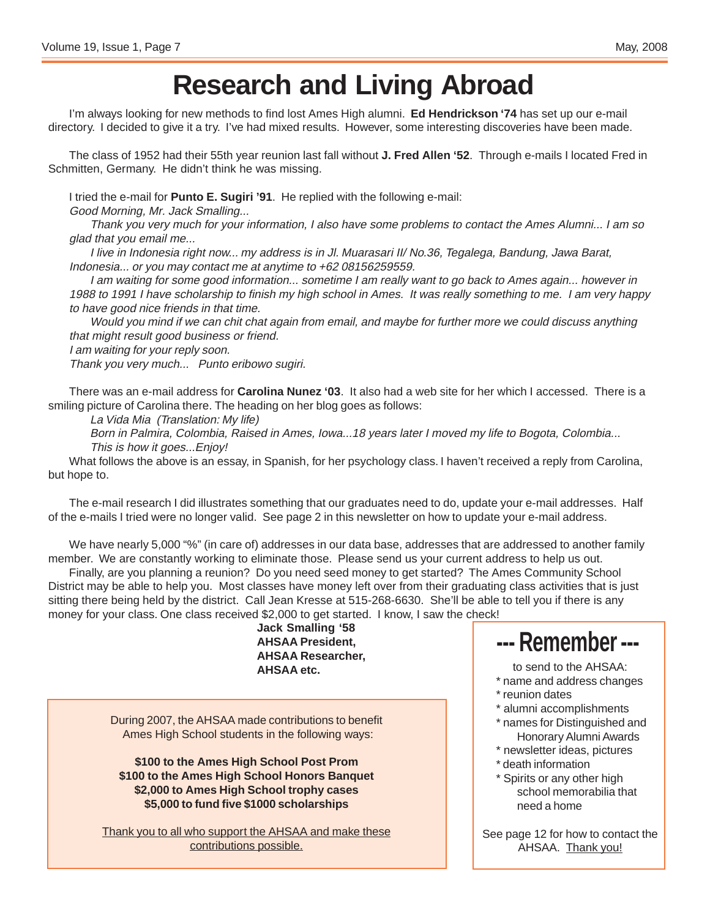# **Research and Living Abroad**

I'm always looking for new methods to find lost Ames High alumni. **Ed Hendrickson '74** has set up our e-mail directory. I decided to give it a try. I've had mixed results. However, some interesting discoveries have been made.

The class of 1952 had their 55th year reunion last fall without **J. Fred Allen '52**. Through e-mails I located Fred in Schmitten, Germany. He didn't think he was missing.

I tried the e-mail for **Punto E. Sugiri '91**. He replied with the following e-mail:

Good Morning, Mr. Jack Smalling...

Thank you very much for your information, I also have some problems to contact the Ames Alumni... I am so glad that you email me...

I live in Indonesia right now... my address is in Jl. Muarasari II/ No.36, Tegalega, Bandung, Jawa Barat, Indonesia... or you may contact me at anytime to +62 08156259559.

I am waiting for some good information... sometime I am really want to go back to Ames again... however in 1988 to 1991 I have scholarship to finish my high school in Ames. It was really something to me. I am very happy to have good nice friends in that time.

Would you mind if we can chit chat again from email, and maybe for further more we could discuss anything that might result good business or friend.

I am waiting for your reply soon.

Thank you very much... Punto eribowo sugiri.

There was an e-mail address for **Carolina Nunez '03**. It also had a web site for her which I accessed. There is a smiling picture of Carolina there. The heading on her blog goes as follows:

La Vida Mia (Translation: My life)

Born in Palmira, Colombia, Raised in Ames, Iowa...18 years later I moved my life to Bogota, Colombia... This is how it goes...Enjoy!

What follows the above is an essay, in Spanish, for her psychology class. I haven't received a reply from Carolina, but hope to.

The e-mail research I did illustrates something that our graduates need to do, update your e-mail addresses. Half of the e-mails I tried were no longer valid. See page 2 in this newsletter on how to update your e-mail address.

We have nearly 5,000 "%" (in care of) addresses in our data base, addresses that are addressed to another family member. We are constantly working to eliminate those. Please send us your current address to help us out.

Finally, are you planning a reunion? Do you need seed money to get started? The Ames Community School District may be able to help you. Most classes have money left over from their graduating class activities that is just sitting there being held by the district. Call Jean Kresse at 515-268-6630. She'll be able to tell you if there is any money for your class. One class received \$2,000 to get started. I know, I saw the check!

**Jack Smalling '58 AHSAA President, AHSAA Researcher, AHSAA etc.**

During 2007, the AHSAA made contributions to benefit Ames High School students in the following ways:

**\$100 to the Ames High School Post Prom \$100 to the Ames High School Honors Banquet \$2,000 to Ames High School trophy cases \$5,000 to fund five \$1000 scholarships**

Thank you to all who support the AHSAA and make these contributions possible.

### **--- Remember ---**

to send to the AHSAA:

\* name and address changes

- \* reunion dates
- \* alumni accomplishments
- \* names for Distinguished and Honorary Alumni Awards
- \* newsletter ideas, pictures
- \* death information
- \* Spirits or any other high school memorabilia that need a home

See page 12 for how to contact the AHSAA. Thank you!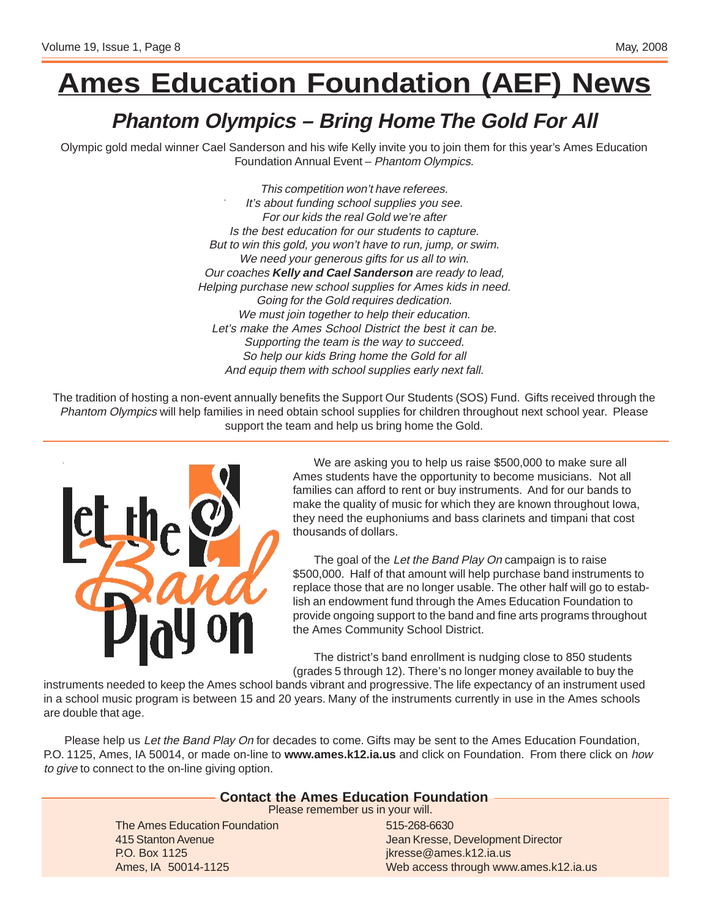# **Ames Education Foundation (AEF) News**

### **Phantom Olympics – Bring Home The Gold For All**

Olympic gold medal winner Cael Sanderson and his wife Kelly invite you to join them for this year's Ames Education Foundation Annual Event – Phantom Olympics.

> This competition won't have referees. It's about funding school supplies you see. For our kids the real Gold we're after Is the best education for our students to capture. But to win this gold, you won't have to run, jump, or swim. We need your generous gifts for us all to win. Our coaches **Kelly and Cael Sanderson** are ready to lead, Helping purchase new school supplies for Ames kids in need. Going for the Gold requires dedication. We must join together to help their education. Let's make the Ames School District the best it can be. Supporting the team is the way to succeed. So help our kids Bring home the Gold for all And equip them with school supplies early next fall.

The tradition of hosting a non-event annually benefits the Support Our Students (SOS) Fund. Gifts received through the Phantom Olympics will help families in need obtain school supplies for children throughout next school year. Please support the team and help us bring home the Gold.



We are asking you to help us raise \$500,000 to make sure all Ames students have the opportunity to become musicians. Not all families can afford to rent or buy instruments. And for our bands to make the quality of music for which they are known throughout Iowa, they need the euphoniums and bass clarinets and timpani that cost thousands of dollars.

The goal of the Let the Band Play On campaign is to raise \$500,000. Half of that amount will help purchase band instruments to replace those that are no longer usable. The other half will go to establish an endowment fund through the Ames Education Foundation to provide ongoing support to the band and fine arts programs throughout the Ames Community School District.

The district's band enrollment is nudging close to 850 students (grades 5 through 12). There's no longer money available to buy the

instruments needed to keep the Ames school bands vibrant and progressive. The life expectancy of an instrument used in a school music program is between 15 and 20 years. Many of the instruments currently in use in the Ames schools are double that age.

Please help us Let the Band Play On for decades to come. Gifts may be sent to the Ames Education Foundation, P.O. 1125, Ames, IA 50014, or made on-line to **www.ames.k12.ia.us** and click on Foundation. From there click on how to give to connect to the on-line giving option.

### **Contact the Ames Education Foundation**

Please remember us in your will.

The Ames Education Foundation 415 Stanton Avenue P.O. Box 1125 Ames, IA 50014-1125

515-268-6630 Jean Kresse, Development Director jkresse@ames.k12.ia.us Web access through www.ames.k12.ia.us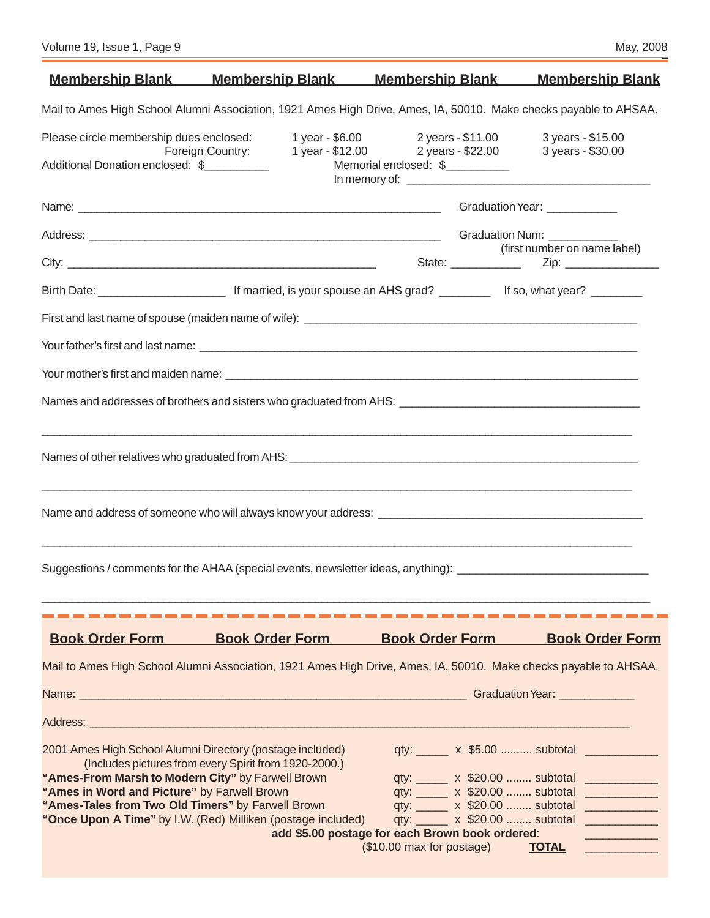|                                                                                                                                                                                                                    |                                                              | <u>Membership Blank Membership Blank Membership Blank</u>                                                                                     | <b>Membership Blank</b>                                                                                                           |
|--------------------------------------------------------------------------------------------------------------------------------------------------------------------------------------------------------------------|--------------------------------------------------------------|-----------------------------------------------------------------------------------------------------------------------------------------------|-----------------------------------------------------------------------------------------------------------------------------------|
|                                                                                                                                                                                                                    |                                                              | Mail to Ames High School Alumni Association, 1921 Ames High Drive, Ames, IA, 50010. Make checks payable to AHSAA.                             |                                                                                                                                   |
| Please circle membership dues enclosed:<br>Additional Donation enclosed: \$                                                                                                                                        |                                                              | 1 year - \$6.00 2 years - \$11.00<br>Foreign Country: $1 \overline{)}$ year - \$12.00 $\overline{)}$ years - \$22.00<br>Memorial enclosed: \$ | 3 years - \$15.00<br>3 years - \$30.00                                                                                            |
|                                                                                                                                                                                                                    |                                                              |                                                                                                                                               | Graduation Year: ____________                                                                                                     |
|                                                                                                                                                                                                                    |                                                              |                                                                                                                                               |                                                                                                                                   |
|                                                                                                                                                                                                                    |                                                              |                                                                                                                                               | (first number on name label)                                                                                                      |
|                                                                                                                                                                                                                    |                                                              |                                                                                                                                               |                                                                                                                                   |
|                                                                                                                                                                                                                    |                                                              |                                                                                                                                               |                                                                                                                                   |
|                                                                                                                                                                                                                    |                                                              |                                                                                                                                               |                                                                                                                                   |
|                                                                                                                                                                                                                    |                                                              |                                                                                                                                               |                                                                                                                                   |
|                                                                                                                                                                                                                    |                                                              |                                                                                                                                               |                                                                                                                                   |
|                                                                                                                                                                                                                    |                                                              |                                                                                                                                               |                                                                                                                                   |
|                                                                                                                                                                                                                    |                                                              | Name and address of someone who will always know your address: Name and and address of someone who will always know your address:             |                                                                                                                                   |
|                                                                                                                                                                                                                    |                                                              | Suggestions / comments for the AHAA (special events, newsletter ideas, anything): ____________________________                                |                                                                                                                                   |
|                                                                                                                                                                                                                    |                                                              |                                                                                                                                               |                                                                                                                                   |
| <b>Book Order Form</b>                                                                                                                                                                                             | <b>Book Order Form</b>                                       | <b>Book Order Form</b>                                                                                                                        | <b>Book Order Form</b>                                                                                                            |
|                                                                                                                                                                                                                    |                                                              | Mail to Ames High School Alumni Association, 1921 Ames High Drive, Ames, IA, 50010. Make checks payable to AHSAA.                             |                                                                                                                                   |
|                                                                                                                                                                                                                    |                                                              |                                                                                                                                               |                                                                                                                                   |
|                                                                                                                                                                                                                    |                                                              |                                                                                                                                               |                                                                                                                                   |
| 2001 Ames High School Alumni Directory (postage included)<br>"Ames-From Marsh to Modern City" by Farwell Brown<br>"Ames in Word and Picture" by Farwell Brown<br>"Ames-Tales from Two Old Timers" by Farwell Brown | (Includes pictures from every Spirit from 1920-2000.)        |                                                                                                                                               | qty: x \$5.00  subtotal<br>qty: ______ x \$20.00  subtotal ______________<br>qty: x \$20.00  subtotal<br>qty: x \$20.00  subtotal |
|                                                                                                                                                                                                                    | "Once Upon A Time" by I.W. (Red) Milliken (postage included) | qty: x \$20.00  subtotal                                                                                                                      | <b>Contract Contract Contract Contract Contract Contract Contract Contract Contract Contract Contract Contract Co</b>             |
|                                                                                                                                                                                                                    |                                                              | add \$5.00 postage for each Brown book ordered:<br>(\$10.00 max for postage)                                                                  | <b>TOTAL</b>                                                                                                                      |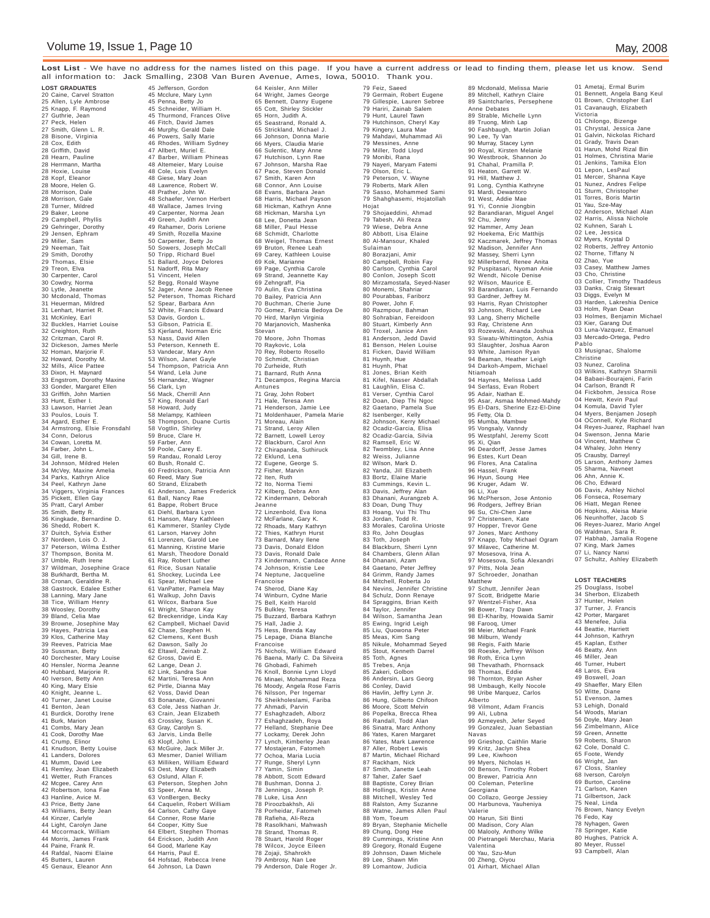**Lost List** - We have no address for the names listed on this page. If you have a current address or lead to finding them, please let us know. Send all information to: Jack Smalling, 2308 Van Buren Avenue, Ames, Iowa, 50010. Thank you.

**LOST GRADUATES** 20 Caine, Carvel Stratton 25 Allen, Lyle Ambrose 25 Knapp, F. Raymond 27 Guthrie, Jean 27 Peck, Helen 27 Smith, Glenn L. R. 28 Bisone, Virginia 28 Cox, Edith 28 Griffith, David 28 Hearn, Pauline 28 Herrmann, Martha 28 Hoxie, Louise 28 Kopf, Eleanor 28 Moore, Helen G. 28 Morrison, Dale 28 Morrison, Gale 28 Turner, Mildred 29 Baker, Leone 29 Campbell, Phyllis 29 Gehringer, Dorothy 29 Jensen, Ephram 29 Miller, Sam 29 Neeman, Tait 29 Smith, Dorothy 29 Thomas, Elsie 29 Treon, Elva 30 Carpenter, Carol 30 Cowdry, Norma 30 Lytle, Jeanette 30 Mcdonald, Thomas 31 Heuerman, Mildred 31 Lenhart, Harriet R. 31 McKinley, Earl 32 Buckles, Harriet Louise 32 Creighton, Ruth 32 Critzman, Carol R. 32 Dickeson, James Merle 32 Homan, Marjorie F. 32 Howard, Dorothy M. 32 Mills, Alice Pattee 33 Dixon, H. Maynard 33 Engstrom, Dorothy Maxine 33 Gonder, Margaret Ellen 33 Griffith, John Martien 33 Hunt, Esther I. 33 Lawson, Harriet Jean 33 Poulos, Louis T. 34 Agard, Esther E. 34 Armstrong, Elsie Fronsdahl 34 Conn, Delorus 34 Cowan, Loretta M. 34 Farber, John L. 34 Gill, Irene B. 34 Johnson, Mildred Helen 34 McVey, Maxine Amelia 34 Parks, Kathryn Alice 34 Peel, Kathryn Jane 34 Viggers, Virginia Frances 35 Pickett, Ellen Gay 35 Pratt, Caryl Amber 35 Smith, Betty R. 36 Kingkade, Bernardine D. 36 Shedd, Robert K. 37 Duitch, Sylvia Esther 37 Nordeen, Lois O. J. 37 Peterson, Wilma Esther 37 Thompson, Bonita M. 37 Umble, Ruth Irene 37 Wildman, Josephine Grace 38 Burkhardt, Bertha M. 38 Cronan, Geraldine R. 38 Gastrock, Edalee Esther 38 Lanning, Mary Jane 38 Tice, William Henry 38 Woosley, Dorothy 39 Bland, Celia Mae 39 Browne, Josephine May 39 Hayes, Patricia Lea 39 Klos, Catherine May 39 Reeves, Patricia Mae 39 Sussman, Betty 40 Dorchester, Mary Louise 40 Hensler, Norma Jeanne 40 Hubbard, Marjorie R. 40 Iverson, Betty Ann 40 King, Mary Elsie 40 Knight, Jeanne L. 40 Turner, Janet Louise 41 Benton, Jean 41 Burdick, Dorothy Irene 41 Burk, Marion 41 Combs, Mary Jean 41 Cook, Dorothy Mae 41 Crump, Elinor 41 Knudson, Betty Louise 41 Landers, Dolores 41 Mumm, David Lee 41 Remley, Joan Elizabeth 41 Wetter, Ruth Frances 42 Mcgee, Carey Ann 42 Robertson, Iona Fae 43 Hanline, Avice M. 43 Price, Betty Jane 43 Williams, Betty Jean 44 Kinzer, Carlyle 44 Light, Carolyn Jane 44 Mccormack, William 44 Morris, James Frank 44 Paine, Frank R. 44 Rafdal, Naomi Elaine 45 Butters, Lauren 45 Genaux, Eleanor Ann

45 Jefferson, Gordon 45 Mcclure, Mary Lynn 45 Penna, Betty Jo 45 Schneider, William H. 45 Thurmond, Frances Olive 46 Fitch, David James 46 Murphy, Gerald Dale 46 Powers, Sally Marie 46 Rhodes, William Sydney 47 Allbert, Muriel E. 47 Barber, William Phineas 48 Altemeier, Mary Louise 48 Cole, Lois Evelyn 48 Giese, Mary Joan<br>48 Lawrence, Robert W.<br>48 Brather, John W.<br>48 Schaefer, Vernon Herbert<br>48 Wallace, James Irving<br>49 Grapenter, Norma Jean<br>49 Green, Judith Ann<br>49 Rahamer, Doris Loriene 49 Smith, Rozella Maxine 50 Carpenter, Betty Jo 50 Sowers, Joseph McCall 50 Tripp, Richard Buel 51 Ballard, Joyce Delores 51 Nadorff, Rita Mary 51 Vincent, Helen 52 Begg, Ronald Wayne 52 Jager, Anne Jacob Renee 52 Peterson, Thomas Richard 52 Spear, Barbara Ann 52 White, Francis Edward 53 Davis, Gordon L. 53 Gibson, Patricia E. 53 Kjerland, Norman Eric 53 Nass, David Allen 53 Peterson, Kenneth E. 53 Vandecar, Mary Ann 53 Wilson, Janet Gayle 54 Thompson, Patricia Ann 54 Wand, Lela June 55 Hernandez, Wagner 56 Clark, Lyn 56 Mack, Cherrill Ann 57 King, Ronald Earl 58 Howard, Judy 58 Melampy, Kathleen 58 Thompson, Duane Curtis 58 Vogtlin, Shirley 59 Bruce, Clare H. 59 Farber, Ann 59 Poole, Carey E. 59 Randau, Ronald Leroy 60 Bush, Ronald C. 60 Fredrickson, Patricia Ann 60 Reed, Mary Sue 60 Strand, Elizabeth 61 Anderson, James Frederick 61 Ball, Nancy Rae 61 Bappe, Robert Bruce 61 Diehl, Barbara Lyon 61 Hanson, Mary Kathleen 61 Kammerer, Stanley Clyde 61 Larson, Harvey John 61 Lorenzen, Garold Lee 61 Manning, Kristine Marie 61 Marsh, Theodore Donald 61 Ray, Robert Luther 61 Rice, Susan Natalie 61 Shockey, Lucinda Lee 61 Spear, Michael Lee 61 VanPatter, Pamela May 61 Walkup, John Davis 61 Wilcox, Barbara Sue 61 Wright, Sharon Kay 62 Breckenridge, Linda Kay 62 Campbell, Michael David 62 Chase, Stephen H. 62 Clemens, Kent Bush 62 Dawson, Sally Jo 62 Eltawil, Zeinab Z. 62 Gross, David E. 62 Lange, Dean J. 62 Link, Sandra Sue 62 Martini, Teresa Ann 62 Pirtle, Dianna May 62 Voss, David Dean 63 Bonanate, Giovanni 63 Cole, Jess Nathan Jr. 63 Crain, Jean Elizabeth 63 Crossley, Susan K. 63 Gray, Carolyn S. 63 Jarvis, Linda Belle 63 Klopf, John L. 63 McGuire, Jack Miller Jr. 63 Mesmer, Daniel William 63 Milliken, William Edward 63 Oest, Mary Elizabeth 63 Oslund, Allan F. 63 Peterson, Stephen John 63 Speer, Anna M. 63 VonBergen, Becky 64 Caquelin, Robert William 64 Carlson, Cathy Gaye 64 Conner, Rose Marie 64 Cooper, Kitty Sue 64 Elbert, Stephen Thomas 64 Erickson, Judith Ann 64 Good, Marlene Kay 64 Harris, Paul E. 64 Hofstad, Rebecca Irene 64 Johnson, La Dawn

64 Keisler, Ann Miller 64 Wright, James George 65 Bennett, Danny Eugene 65 Cott, Shirley Stickler 65 Horn, Judith A. 65 Seastrand, Ronald A. 65 Strickland, Michael J. 66 Johnson, Donna Marie 66 Myers, Claudia Marie 66 Sulentic, Mary Anne 67 Hutchison, Lynn Rae 67 Johnson, Marsha Rae 67 Pace, Steven Donald 67 Smith, Karen Ann 68 Connor, Ann Louise 68 Evans, Barbara Jean 68 Harris, Michael Payson 68 Hickman, Kathryn Anne 68 Hickman, Marsha Lyn 68 Lee, Donetta Jean 68 Miller, Paul Hesse 68 Schmidt, Charlotte 68 Weigel, Thomas Ernest 69 Bruton, Renee Leah 69 Carey, Kathleen Louise 69 Kok, Marianne 69 Page, Cynthia Carole 69 Strand, Jeannette Kay 69 Zehngraff, Pia 70 Aulin, Eva Christina 70 Bailey, Patricia Ann 70 Buchman, Cherie June 70 Gomez, Patricia Bedoya De 70 Hird, Marilyn Virginia 70 Marjanovich, Mashenka Stevan 70 Moore, John Thomas 70 Raykovic, Lola 70 Rey, Roberto Rosello 70 Schmidt, Christian 70 Zurheide, Ruth<br>71 Barnard, Ruth Anna 71 Barnard, Ruth Anna 71 Decampos, Regina Marcia Antunes 71 Gray, John Robert 71 Hale, Teresa Ann 71 Henderson, Jamie Lee 71 Moldenhauer, Pamela Marie 71 Moreau, Alain 71 Strand, Leroy Allen 72 Barnett, Lowell Leroy 72 Blackburn, Carol Ann 72 Chirapanda, Suthiruck 72 Eklund, Lena 72 Eugene, George S. 72 Fisher, Marvin 72 Iten, Ruth 72 Ito, Norma Tiemi 72 Kilberg, Debra Ann 72 Kindermann, Deborah Jeanne 72 Linzenbold, Eva Ilona 72 McFarlane, Gary K. 72 Rhoads, Mary Kathryn 72 Thies, Kathryn Hurst 73 Barnard, Mary Ilene 73 Davis, Donald Eldon 73 Davis, Ronald Dale 73 Kindermann, Candace Anne 74 Johnson, Kristie Lee 74 Neptune, Jacqueline Francoise 74 Sherod, Diane Kay 74 Winburn, Cydne Marie 75 Bell, Keith Harold 75 Bulkley, Teresa 75 Buzzard, Barbara Kathryn 75 Hall, Jadie J. 75 Hess, Brenda Kay 75 Lepage, Diana Blanche Francoise 75 Nichols, William Edward 76 Baena, Marly C. Da Silveira 76 Ghobadi, Fahimeh 76 Knoll, Bonnie Lynn Lloyd 76 Minaei, Mohammad Reza 76 Moody, Angela Rose Farris 76 Nilsson, Per Ingemar 76 Sheikholeslami, Fariba 77 Ahmadi, Parvin 77 Eshaghzadeh, Alborz 77 Eshaghzadeh, Roya 77 Helland, Stephanie Dee 77 Lockamy, Derek John 77 Lynch, Kimberley Jean 77 Mostajeran, Fatomeh 77 Ochoa, Maria Lucia 77 Runge, Sheryl Lynn<br>77 Yamin, Simin 77 Yamin, Simin 78 Abbott, Scott Edward 78 Bushman, Donna J. 78 Jennings, Joseph P. 78 Luke, Lisa Ann 78 Piroozbakhsh, Ali 78 Porheidar, Fatomeh 78 Rafieha, Ali-Reza 78 Rasolkhani, Mahwash 78 Strand, Thomas R. 78 Stuart, Harold Roger 78 Wilcox, Joyce Eileen 78 Zojaji, Shahrokh 79 Ambrosy, Nan Lee 79 Anderson, Dale Roger Jr.

79 Feiz, Saeed 79 Germain, Robert Eugene 79 Gillespie, Lauren Sebree 79 Hariri, Zainab Salem 79 Hunt, Laurel Tawn 79 Hutchinson, Cheryl Kay 79 Kingery, Laura Mae 79 Mahdavi, Muhammad Ali 79 Messines, Anne 79 Miller, Todd Lloyd 79 Monibi, Rana 79 Nayeri, Maryam Fatemi 79 Olson, Eric L. 79 Peterson, V. Wayne 79 Roberts, Mark Allen 79 Sasso, Mohammed Sami 79 Shahghasemi, Hojatollah Hojat 79 Shojaeddini, Ahmad 79 Tabesh, Ali Reza 79 Wiese, Debra Anne 80 Abbott, Lisa Elaine 80 Al-Mansour, Khaled Sulaiman 80 Borazjani, Amir 80 Campbell, Robin Fay 80 Carlson, Cynthia Carol 80 Conlon, Joseph Scott 80 Mirzamostafa, Seyed-Naser 80 Monemi, Shahriar 80 Pourabbas, Fariborz 80 Power, John F. 80 Razmpour, Bahman 80 Sohrabian, Fereidoon 80 Stuart, Kimberly Ann 80 Troxel, Janice Ann 81 Anderson, Jedd David 81 Benson, Helen Louise 81 Ficken, David William 81 Huynh, Hue 81 Huynh, Phat 81 Jones, Brian Keith 81 Kifel, Nasser Abdallah 81 Laughlin, Elisa C. 81 Verser, Cynthia Carol 82 Doan, Diep Thi Ngoc 82 Gaetano, Pamela Sue 82 Isenberger, Kelly 82 Johnson, Kerry Michael 82 Ocadiz-Garcia, Elisa 82 Ocadiz-Garcia, Silvia 82 Ramsell, Eric W. 82 Twombley, Lisa Anne 82 Weiss, Julianne 82 Wilson, Mark D. 82 Yanda, Jill Elizabeth 83 Bortz, Elaine Marie 83 Cummings, Kevin L. 83 Davis, Jeffrey Alan 83 Dhanani, Aurangzeb A. 83 Doan, Dung Thuy 83 Hoang, Vui Thi Thu 83 Jordan, Todd R. 83 Morales, Carolina Urioste 83 Ro, John Douglas 83 Toth, Joseph 84 Blackburn, Sherri Lynn 84 Chambers, Glenn Allan 84 Dhanani, Azam 84 Gaetano, Peter Jeffrey 84 Grimm, Randy James 84 Mitchell, Roberta Jo 84 Nevins, Jennifer Christine 84 Schulz, Donn Renaye 84 Spraggins, Brian Keith 84 Taylor, Jennifer 84 Wilson, Samantha Jean 85 Ewing, Ingrid Leigh 85 Liu, Quowona Peter 85 Meas, Kim Sang 85 Nikule, Mohammad Seyed 85 Stout, Kenneth Darrel 85 Toth, Agnes 85 Trebes, Anja 85 Zakeri, Golbon 86 Andersin, Lars Georg 86 Conley, David 86 Havlin, Jeffry Lynn Jr. 86 Hung, Gilberto Chifoon 86 Moore, Scott Melvin 86 Popelka, Brecca Rhea 86 Randall, Todd Alan 86 Sinatra, Marc Anthony 86 Yates, Karen Margaret 86 Yates, Mark Lawrence 87 Aller, Robert Lewis 87 Martin, Michael Richard 87 Rackham, Nick 87 Smith, Janette Leah 87 Taher, Zafer Saef 88 Baptiste, Corey Brian 88 Hollings, Kristin Anne 88 Mitchell, Wesley Ted 88 Ralston, Amy Suzanne 88 Watne, James Allen Paul 88 Yom, Toeum 89 Bryan, Stephanie Michelle 89 Chung, Dong Hee 89 Cummings, Kristine Ann 89 Gregory, Ronald Eugene 89 Johnson, Dawn Michele 89 Lee, Shawn Min 89 Lomantow, Judicia

89 Mcdonald, Melissa Marie 89 Mitchell, Kathryn Claire 89 Saintcharles, Persephene Anne Debates 89 Strable, Michelle Lynn 89 Truong, Minh Lap 90 Fashbaugh, Martin Jolian 90 Lee, Ty Van 90 Murray, Stacey Lynn 90 Royal, Kirsten Melanie 90 Westbrook, Shannon Jo 91 Chahal, Pramilla P. 91 Heaton, Garrett W. 91 Hill, Matthew J. 91 Long, Cynthia Kathryne 91 Mardi, Dewantoro 91 West, Addie Mae 91 Yi, Connie Jiongbin 92 Barandiaran, Miguel Angel 92 Chu, Jenny 92 Hammer, Amy Jean 92 Hoekema, Eric Matthijs 92 Kaczmarek, Jeffrey Thomas 92 Madison, Jennifer Ann 92 Massey, Sherri Lynn 92 Millerbernd, Renee Anita 92 Puspitasari, Nyoman Anie 92 Wendt, Nicole Denise 92 Wilson, Maurice E. 93 Barandiaran, Luis Fernando 93 Gardner, Jeffrey M. 93 Harris, Ryan Christopher 93 Johnson, Richard Lee 93 Lang, Sherry Michelle 93 Ray, Christene Ann 93 Rozewski, Ananda Joshua 93 Siwatu-Whittington, Ashia 93 Slaughter, Joshua Aaron 93 White, Jamison Ryan 94 Beaman, Heather Leigh 94 Darkoh-Ampem, Mich Ntiamoah 94 Haynes, Melissa Ladd 94 Serfass, Evan Robert 95 Adair, Nathan E. 95 Asar, Asmaa Mohmed-Mahdy 95 El-Dars, Sherine Ezz-El-Dine 95 Fetty, Ola D. 95 Mumba, Mambwe 95 Vongsaly, Vanndy 95 Westpfahl, Jeremy Scott 95 Xi, Qian 96 Deardorff, Jesse James 96 Estes, Kurt Dean 96 Flores, Ana Catalina 96 Hassel, Frank 96 Hyun, Soung Hee 96 Kruger, Adam W. 96 Li, Xue 96 McPherson, Jose Antonio 96 Rodgers, Jeffrey Brian 96 Su, Chi-Chen Jane 97 Christensen, Kate 97 Hopper, Trevor Gene 97 Jones, Marc Anthony 97 Knapp, Toby Michael Ogram 97 Milavec, Catherine M. 97 Mosesova, Irina A. 97 Mosesova, Sofia Alexandri 97 Pitts, Nola Jean 97 Schroeder, Jonathan Matthew 97 Schutt, Jennifer Jean 97 Scott, Bridgette Marie 97 Wentzel-Fisher, Asa 98 Bower, Tracy Dawn 98 El-Khariby, Howaida Samir 98 Farooq, Umer 98 Meier, Michael Frank 98 Milburn, Wendy 98 Regis, Faith Marie 98 Roeske, Jeffrey Wilson 98 Roth, Erica Lynn 98 Thevathath, Phornsack 98 Thomas, Eddie 98 Thornton, Bryan Asher 98 Umbaugh, Kelly Nocole 98 Uribe Marquez, Carlos Alberto 98 Vilmont, Adam Francis 99 Ali, Lubna 99 Azmeyesh, Jefer Seyed 99 Gonzalez, Juan Sebastian Navas 99 Grieshop, Caithlin Marie 99 Kritz, Jaclyn Shea 99 Lee, Kiwhoon 99 Myers, Nicholas H. 00 Benson, Timothy Robert 00 Brewer, Patricia Ann 00 Coleman, Peterline Georgiana 00 Collazo, George Jessiey 00 Harbunova, Yauheniya Valerie 00 Harun, Siti Binti 00 Madison, Cory Alan 00 Malooly, Anthony Wilke 00 Pietrangeli Merchau, Maria Valentina 00 Yau, Szu-Mun 00 Zheng, Oiyou 01 Airhart, Michael Allan

01 Ametaj, Ermal Burim 01 Bennett, Angela Bang Keul 01 Brown, Christopher Earl 01 Cavanaugh, Elizabeth Victoria<br>01 Chivongo, Bizenge<br>01 Chrystal, Jessica Jane<br>01 Gadvin, Nickolas Richard<br>01 Grady, Travis Dean<br>01 Harun, Mohd Rizal Bin<br>01 Holmes, Christina Marie<br>01 Jenkins, Tamika Elon 01 Lepon, LesPaul 01 Mercer, Shanna Kaye 01 Nunez, Andres Felipe 01 Sturm, Christopher 01 Torres, Boris Martin 01 Yau, Sze-May 02 Anderson, Michael Alan 02 Harris, Alissa Nichole 02 Kuhnen, Sarah L 02 Lee, Jessica 02 Myers, Krystal D 02 Roberts, Jeffrey Antonio 02 Thorne, Tiffany N 02 Zhao, Yue 03 Casey, Matthew James 03 Cho, Christine 03 Collier, Timothy Thaddeus 03 Danks, Craig Stewart 03 Diggs, Evelyn M 03 Harden, Lakreshia Denice 03 Holm, Ryan Dean 03 Holmes, Benjamin Michael 03 Kier, Garang Dut 03 Luna-Vazquez, Emanuel 03 Mercado-Ortega, Pedro Pablo 03 Musignac, Shalome Christine 03 Nunez, Carolina 03 Wilkins, Kathryn Sharmili 04 Babaei-Bourajeni, Farin 04 Carlson, Brandt R 04 Fickbohm, Jessica Rose 04 Hewitt, Kevin Paul 04 Komula, David Tyler 04 Myers, Benjamen Joseph 04 OConnell, Kyle Richard 04 Reyes-Juarez, Raphael Ivan 04 Swenson, Jenna Marie 04 Vincent, Matthew C 04 Whaley, John Henry 05 Crausby, Darreyl 05 Larson, Anthony James 05 Sharma, Navneet 06 Ahn, Annie K. 06 Cho, Edward 06 Davis, Ashley Nichol 06 Fonseca, Rosemary 06 Hiatt, Megan Renee 06 Hopkins, Aleisa Marie 06 Neunhoffer, Jacob S 06 Reyes-Juarez, Mario Angel 06 Waldman, Sara R. 07 Habhab, Jamalia Rogene 07 King, Mark James 07 Li, Nancy Nanxi 07 Schultz, Ashley Elizabeth

**LOST TEACHERS**

25 Douglass, Isobel 34 Sherbon, Elizabeth 37 Hunter, Helen 37 Turner, J. Francis 42 Porter, Margaret 43 Menefee, Julia 44 Beattie, Harriett 44 Johnson, Kathryn 45 Kaplan, Esther 46 Beatty, Ann 46 Miller, Jean 46 Turner, Hubert 48 Laros, Eva 49 Boswell, Joan 49 Shaeffer, Mary Ellen 50 Witte, Diane 51 Evenson, James 53 Lehigh, Donald 54 Woods, Marian 56 Doyle, Mary Jean 56 Zimbelmann, Alice 59 Green, Annette 59 Roberts, Sharon 62 Cole, Donald C. 65 Foote, Wendy 66 Wright, Jan 67 Closs, Stanley 68 Iverson, Carolyn 69 Burton, Caroline 71 Carlson, Karen 71 Gilbertson, Jack 125 Burton, Carl<br>
125 Neal, Linda<br>
175 Neal, Linda 76 Brown, Nancy Evelyn 76 Fedo, Kay 78 Nyhagen, Gwen 78 Springer, Katie 80 Hughes, Patrick A. 80 Meyer, Russel 93 Campbell, Alan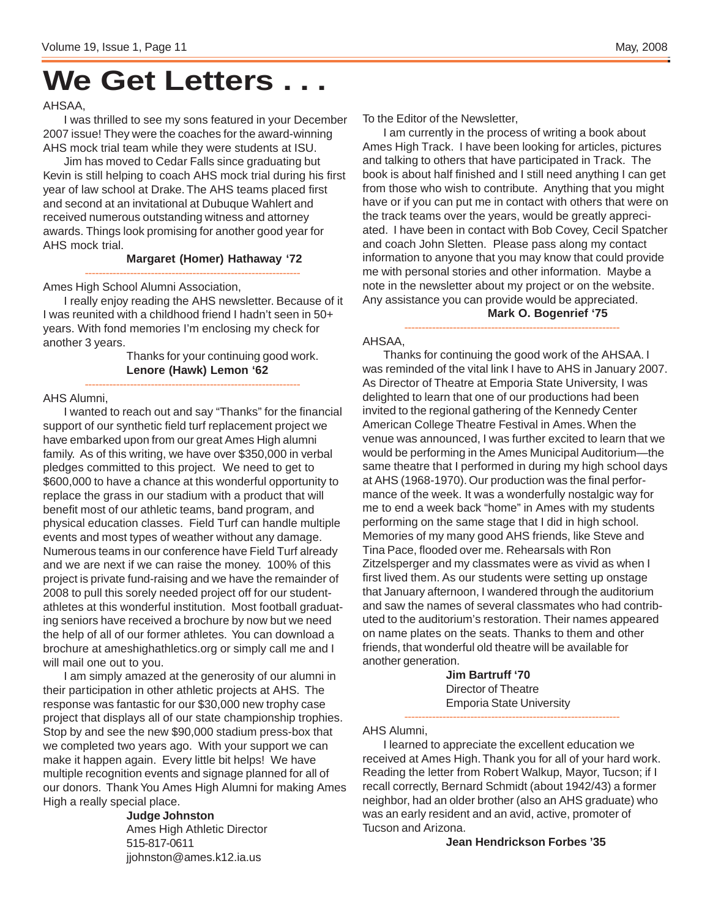# **We Get Letters . . .**

#### AHSAA,

I was thrilled to see my sons featured in your December 2007 issue! They were the coaches for the award-winning AHS mock trial team while they were students at ISU.

Jim has moved to Cedar Falls since graduating but Kevin is still helping to coach AHS mock trial during his first year of law school at Drake. The AHS teams placed first and second at an invitational at Dubuque Wahlert and received numerous outstanding witness and attorney awards. Things look promising for another good year for AHS mock trial.

#### **Margaret (Homer) Hathaway '72**

-------------------------------------------------------------- Ames High School Alumni Association,

I really enjoy reading the AHS newsletter. Because of it I was reunited with a childhood friend I hadn't seen in 50+ years. With fond memories I'm enclosing my check for another 3 years.

--------------------------------------------------------------

Thanks for your continuing good work. **Lenore (Hawk) Lemon '62**

#### AHS Alumni,

I wanted to reach out and say "Thanks" for the financial support of our synthetic field turf replacement project we have embarked upon from our great Ames High alumni family. As of this writing, we have over \$350,000 in verbal pledges committed to this project. We need to get to \$600,000 to have a chance at this wonderful opportunity to replace the grass in our stadium with a product that will benefit most of our athletic teams, band program, and physical education classes. Field Turf can handle multiple events and most types of weather without any damage. Numerous teams in our conference have Field Turf already and we are next if we can raise the money. 100% of this project is private fund-raising and we have the remainder of 2008 to pull this sorely needed project off for our studentathletes at this wonderful institution. Most football graduating seniors have received a brochure by now but we need the help of all of our former athletes. You can download a brochure at ameshighathletics.org or simply call me and I will mail one out to you.

I am simply amazed at the generosity of our alumni in their participation in other athletic projects at AHS. The response was fantastic for our \$30,000 new trophy case project that displays all of our state championship trophies. Stop by and see the new \$90,000 stadium press-box that we completed two years ago. With your support we can make it happen again. Every little bit helps! We have multiple recognition events and signage planned for all of our donors. Thank You Ames High Alumni for making Ames High a really special place.

> **Judge Johnston** Ames High Athletic Director 515-817-0611 jjohnston@ames.k12.ia.us

To the Editor of the Newsletter,

I am currently in the process of writing a book about Ames High Track. I have been looking for articles, pictures and talking to others that have participated in Track. The book is about half finished and I still need anything I can get from those who wish to contribute. Anything that you might have or if you can put me in contact with others that were on the track teams over the years, would be greatly appreciated. I have been in contact with Bob Covey, Cecil Spatcher and coach John Sletten. Please pass along my contact information to anyone that you may know that could provide me with personal stories and other information. Maybe a note in the newsletter about my project or on the website. Any assistance you can provide would be appreciated. **Mark O. Bogenrief '75**

#### -------------------------------------------------------------- AHSAA,

Thanks for continuing the good work of the AHSAA. I was reminded of the vital link I have to AHS in January 2007. As Director of Theatre at Emporia State University, I was delighted to learn that one of our productions had been invited to the regional gathering of the Kennedy Center American College Theatre Festival in Ames. When the venue was announced, I was further excited to learn that we would be performing in the Ames Municipal Auditorium—the same theatre that I performed in during my high school days at AHS (1968-1970). Our production was the final performance of the week. It was a wonderfully nostalgic way for me to end a week back "home" in Ames with my students performing on the same stage that I did in high school. Memories of my many good AHS friends, like Steve and Tina Pace, flooded over me. Rehearsals with Ron Zitzelsperger and my classmates were as vivid as when I first lived them. As our students were setting up onstage that January afternoon, I wandered through the auditorium and saw the names of several classmates who had contributed to the auditorium's restoration. Their names appeared on name plates on the seats. Thanks to them and other friends, that wonderful old theatre will be available for another generation.

> **Jim Bartruff '70** Director of Theatre Emporia State University

--------------------------------------------------------------

### AHS Alumni,

I learned to appreciate the excellent education we received at Ames High. Thank you for all of your hard work. Reading the letter from Robert Walkup, Mayor, Tucson; if I recall correctly, Bernard Schmidt (about 1942/43) a former neighbor, had an older brother (also an AHS graduate) who was an early resident and an avid, active, promoter of Tucson and Arizona.

#### **Jean Hendrickson Forbes '35**